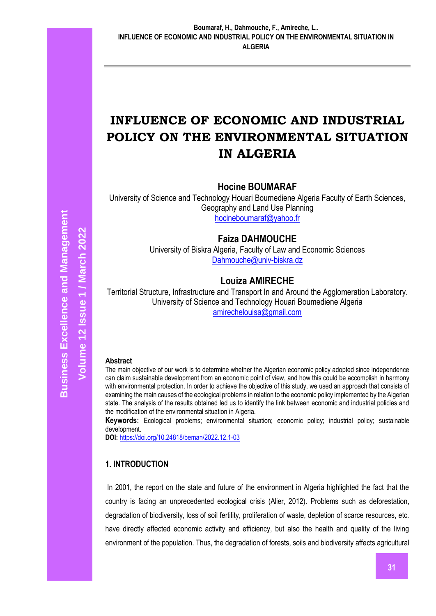# **INFLUENCE OF ECONOMIC AND INDUSTRIAL POLICY ON THE ENVIRONMENTAL SITUATION IN ALGERIA**

**Hocine BOUMARAF** 

University of Science and Technology Houari Boumediene Algeria Faculty of Earth Sciences, Geography and Land Use Planning [hocineboumaraf@yahoo.fr](mailto:hocineboumaraf@yahoo.fr)

# **Faiza DAHMOUCHE**

University of Biskra Algeria, Faculty of Law and Economic Sciences [Dahmouche@univ-biskra.dz](mailto:Dahmouche@univ-biskra.dz)

# **Louiza AMIRECHE**

Territorial Structure, Infrastructure and Transport In and Around the Agglomeration Laboratory. University of Science and Technology Houari Boumediene Algeria [amirechelouisa@gmail.com](mailto:amirechelouisa@gmail.com)

## **Abstract**

The main objective of our work is to determine whether the Algerian economic policy adopted since independence can claim sustainable development from an economic point of view, and how this could be accomplish in harmony with environmental protection. In order to achieve the objective of this study, we used an approach that consists of examining the main causes of the ecological problems in relation to the economic policy implemented by the Algerian state. The analysis of the results obtained led us to identify the link between economic and industrial policies and the modification of the environmental situation in Algeria.

**Keywords:** Ecological problems; environmental situation; economic policy; industrial policy; sustainable development.

**DOI:** <https://doi.org/10.24818/beman/2022.12.1-03>

## **1. INTRODUCTION**

In 2001, the report on the state and future of the environment in Algeria highlighted the fact that the country is facing an unprecedented ecological crisis (Alier, 2012). Problems such as deforestation, degradation of biodiversity, loss of soil fertility, proliferation of waste, depletion of scarce resources, etc. have directly affected economic activity and efficiency, but also the health and quality of the living environment of the population. Thus, the degradation of forests, soils and biodiversity affects agricultural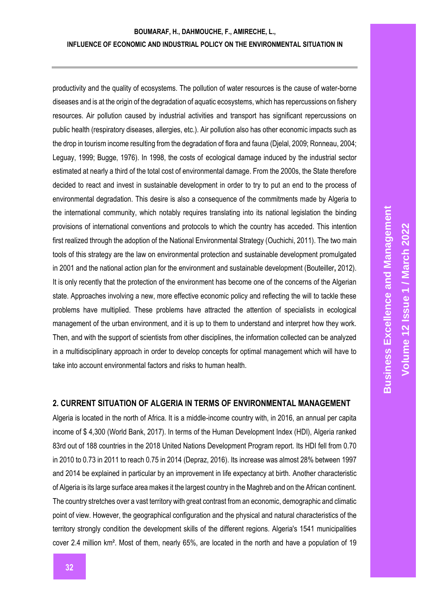productivity and the quality of ecosystems. The pollution of water resources is the cause of water-borne diseases and is at the origin of the degradation of aquatic ecosystems, which has repercussions on fishery resources. Air pollution caused by industrial activities and transport has significant repercussions on public health (respiratory diseases, allergies, etc.). Air pollution also has other economic impacts such as the drop in tourism income resulting from the degradation of flora and fauna (Djelal, 2009; Ronneau, 2004; Leguay, 1999; Bugge, 1976). In 1998, the costs of ecological damage induced by the industrial sector estimated at nearly a third of the total cost of environmental damage. From the 2000s, the State therefore decided to react and invest in sustainable development in order to try to put an end to the process of environmental degradation. This desire is also a consequence of the commitments made by Algeria to the international community, which notably requires translating into its national legislation the binding provisions of international conventions and protocols to which the country has acceded. This intention first realized through the adoption of the National Environmental Strategy (Ouchichi, 2011). The two main tools of this strategy are the law on environmental protection and sustainable development promulgated in 2001 and the national action plan for the environment and sustainable development (Bouteiller**,** 2012). It is only recently that the protection of the environment has become one of the concerns of the Algerian state. Approaches involving a new, more effective economic policy and reflecting the will to tackle these problems have multiplied. These problems have attracted the attention of specialists in ecological management of the urban environment, and it is up to them to understand and interpret how they work. Then, and with the support of scientists from other disciplines, the information collected can be analyzed in a multidisciplinary approach in order to develop concepts for optimal management which will have to take into account environmental factors and risks to human health.

## **2. CURRENT SITUATION OF ALGERIA IN TERMS OF ENVIRONMENTAL MANAGEMENT**

Algeria is located in the north of Africa. It is a middle-income country with, in 2016, an annual per capita income of \$ 4,300 (World Bank, 2017). In terms of the Human Development Index (HDI), Algeria ranked 83rd out of 188 countries in the 2018 United Nations Development Program report. Its HDI fell from 0.70 in 2010 to 0.73 in 2011 to reach 0.75 in 2014 (Depraz, 2016). Its increase was almost 28% between 1997 and 2014 be explained in particular by an improvement in life expectancy at birth. Another characteristic of Algeria is its large surface area makes it the largest country in the Maghreb and on the African continent. The country stretches over a vast territory with great contrast from an economic, demographic and climatic point of view. However, the geographical configuration and the physical and natural characteristics of the territory strongly condition the development skills of the different regions. Algeria's 1541 municipalities cover 2.4 million km². Most of them, nearly 65%, are located in the north and have a population of 19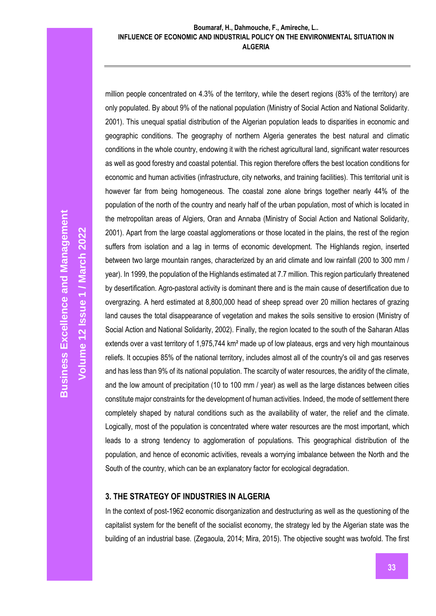#### **Boumaraf, H., Dahmouche, F., Amireche, L.. INFLUENCE OF ECONOMIC AND INDUSTRIAL POLICY ON THE ENVIRONMENTAL SITUATION IN ALGERIA**

million people concentrated on 4.3% of the territory, while the desert regions (83% of the territory) are only populated. By about 9% of the national population (Ministry of Social Action and National Solidarity. 2001). This unequal spatial distribution of the Algerian population leads to disparities in economic and geographic conditions. The geography of northern Algeria generates the best natural and climatic conditions in the whole country, endowing it with the richest agricultural land, significant water resources as well as good forestry and coastal potential. This region therefore offers the best location conditions for economic and human activities (infrastructure, city networks, and training facilities). This territorial unit is however far from being homogeneous. The coastal zone alone brings together nearly 44% of the population of the north of the country and nearly half of the urban population, most of which is located in the metropolitan areas of Algiers, Oran and Annaba (Ministry of Social Action and National Solidarity, 2001). Apart from the large coastal agglomerations or those located in the plains, the rest of the region suffers from isolation and a lag in terms of economic development. The Highlands region, inserted between two large mountain ranges, characterized by an arid climate and low rainfall (200 to 300 mm / year). In 1999, the population of the Highlands estimated at 7.7 million. This region particularly threatened by desertification. Agro-pastoral activity is dominant there and is the main cause of desertification due to overgrazing. A herd estimated at 8,800,000 head of sheep spread over 20 million hectares of grazing land causes the total disappearance of vegetation and makes the soils sensitive to erosion (Ministry of Social Action and National Solidarity, 2002). Finally, the region located to the south of the Saharan Atlas extends over a vast territory of 1,975,744 km<sup>2</sup> made up of low plateaus, ergs and very high mountainous reliefs. It occupies 85% of the national territory, includes almost all of the country's oil and gas reserves and has less than 9% of its national population. The scarcity of water resources, the aridity of the climate, and the low amount of precipitation (10 to 100 mm / year) as well as the large distances between cities constitute major constraints for the development of human activities. Indeed, the mode of settlement there completely shaped by natural conditions such as the availability of water, the relief and the climate. Logically, most of the population is concentrated where water resources are the most important, which leads to a strong tendency to agglomeration of populations. This geographical distribution of the population, and hence of economic activities, reveals a worrying imbalance between the North and the South of the country, which can be an explanatory factor for ecological degradation.

## **3. THE STRATEGY OF INDUSTRIES IN ALGERIA**

In the context of post-1962 economic disorganization and destructuring as well as the questioning of the capitalist system for the benefit of the socialist economy, the strategy led by the Algerian state was the building of an industrial base. (Zegaoula, 2014; Mira, 2015). The objective sought was twofold. The first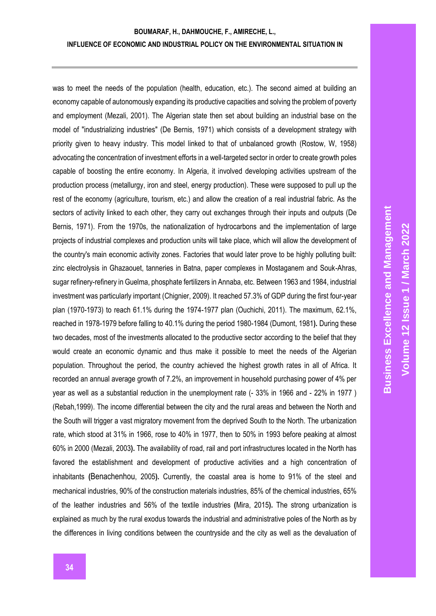was to meet the needs of the population (health, education, etc.). The second aimed at building an economy capable of autonomously expanding its productive capacities and solving the problem of poverty and employment (Mezali, 2001). The Algerian state then set about building an industrial base on the model of "industrializing industries" (De Bernis, 1971) which consists of a development strategy with priority given to heavy industry. This model linked to that of unbalanced growth (Rostow, W, 1958) advocating the concentration of investment efforts in a well-targeted sector in order to create growth poles capable of boosting the entire economy. In Algeria, it involved developing activities upstream of the production process (metallurgy, iron and steel, energy production). These were supposed to pull up the rest of the economy (agriculture, tourism, etc.) and allow the creation of a real industrial fabric. As the sectors of activity linked to each other, they carry out exchanges through their inputs and outputs (De Bernis, 1971). From the 1970s, the nationalization of hydrocarbons and the implementation of large projects of industrial complexes and production units will take place, which will allow the development of the country's main economic activity zones. Factories that would later prove to be highly polluting built: zinc electrolysis in Ghazaouet, tanneries in Batna, paper complexes in Mostaganem and Souk-Ahras, sugar refinery-refinery in Guelma, phosphate fertilizers in Annaba, etc. Between 1963 and 1984, industrial investment was particularly important (Chignier, 2009). It reached 57.3% of GDP during the first four-year plan (1970-1973) to reach 61.1% during the 1974-1977 plan (Ouchichi, 2011). The maximum, 62.1%, reached in 1978-1979 before falling to 40.1% during the period 1980-1984 (Dumont, 1981**).** During these two decades, most of the investments allocated to the productive sector according to the belief that they would create an economic dynamic and thus make it possible to meet the needs of the Algerian population. Throughout the period, the country achieved the highest growth rates in all of Africa. It recorded an annual average growth of 7.2%, an improvement in household purchasing power of 4% per year as well as a substantial reduction in the unemployment rate (- 33% in 1966 and - 22% in 1977 ) (Rebah,1999). The income differential between the city and the rural areas and between the North and the South will trigger a vast migratory movement from the deprived South to the North. The urbanization rate, which stood at 31% in 1966, rose to 40% in 1977, then to 50% in 1993 before peaking at almost 60% in 2000 (Mezali, 2003**).** The availability of road, rail and port infrastructures located in the North has favored the establishment and development of productive activities and a high concentration of inhabitants **(**Benachenhou, 2005**).** Currently, the coastal area is home to 91% of the steel and mechanical industries, 90% of the construction materials industries, 85% of the chemical industries, 65% of the leather industries and 56% of the textile industries **(**Mira, 2015**).** The strong urbanization is explained as much by the rural exodus towards the industrial and administrative poles of the North as by the differences in living conditions between the countryside and the city as well as the devaluation of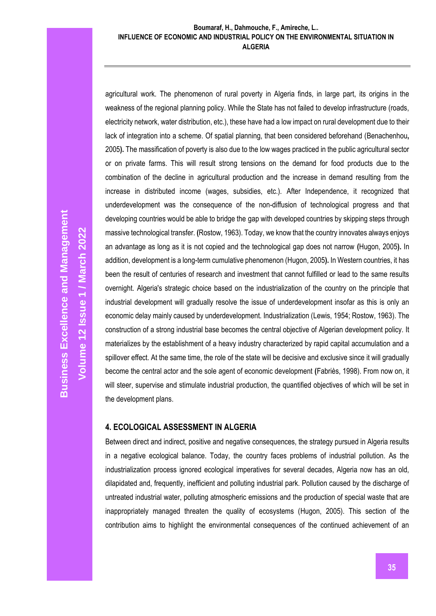#### **Boumaraf, H., Dahmouche, F., Amireche, L.. INFLUENCE OF ECONOMIC AND INDUSTRIAL POLICY ON THE ENVIRONMENTAL SITUATION IN ALGERIA**

agricultural work. The phenomenon of rural poverty in Algeria finds, in large part, its origins in the weakness of the regional planning policy. While the State has not failed to develop infrastructure (roads, electricity network, water distribution, etc.), these have had a low impact on rural development due to their lack of integration into a scheme. Of spatial planning, that been considered beforehand (Benachenhou**,** 2005**).** The massification of poverty is also due to the low wages practiced in the public agricultural sector or on private farms. This will result strong tensions on the demand for food products due to the combination of the decline in agricultural production and the increase in demand resulting from the increase in distributed income (wages, subsidies, etc.). After Independence, it recognized that underdevelopment was the consequence of the non-diffusion of technological progress and that developing countries would be able to bridge the gap with developed countries by skipping steps through massive technological transfer. **(**Rostow, 1963). Today, we know that the country innovates always enjoys an advantage as long as it is not copied and the technological gap does not narrow **(**Hugon, 2005**).** In addition, development is a long-term cumulative phenomenon (Hugon, 2005**).** In Western countries, it has been the result of centuries of research and investment that cannot fulfilled or lead to the same results overnight. Algeria's strategic choice based on the industrialization of the country on the principle that industrial development will gradually resolve the issue of underdevelopment insofar as this is only an economic delay mainly caused by underdevelopment. Industrialization (Lewis, 1954; Rostow, 1963). The construction of a strong industrial base becomes the central objective of Algerian development policy. It materializes by the establishment of a heavy industry characterized by rapid capital accumulation and a spillover effect. At the same time, the role of the state will be decisive and exclusive since it will gradually become the central actor and the sole agent of economic development **(**Fabriès, 1998). From now on, it will steer, supervise and stimulate industrial production, the quantified objectives of which will be set in the development plans.

## **4. ECOLOGICAL ASSESSMENT IN ALGERIA**

Between direct and indirect, positive and negative consequences, the strategy pursued in Algeria results in a negative ecological balance. Today, the country faces problems of industrial pollution. As the industrialization process ignored ecological imperatives for several decades, Algeria now has an old, dilapidated and, frequently, inefficient and polluting industrial park. Pollution caused by the discharge of untreated industrial water, polluting atmospheric emissions and the production of special waste that are inappropriately managed threaten the quality of ecosystems (Hugon, 2005). This section of the contribution aims to highlight the environmental consequences of the continued achievement of an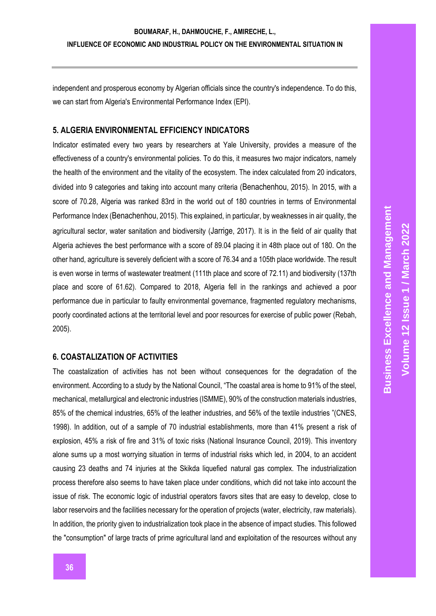## **BOUMARAF, H., DAHMOUCHE, F., AMIRECHE, L., INFLUENCE OF ECONOMIC AND INDUSTRIAL POLICY ON THE ENVIRONMENTAL SITUATION IN**

independent and prosperous economy by Algerian officials since the country's independence. To do this, we can start from Algeria's Environmental Performance Index (EPI).

#### **5. ALGERIA ENVIRONMENTAL EFFICIENCY INDICATORS**

Indicator estimated every two years by researchers at Yale University, provides a measure of the effectiveness of a country's environmental policies. To do this, it measures two major indicators, namely the health of the environment and the vitality of the ecosystem. The index calculated from 20 indicators, divided into 9 categories and taking into account many criteria (Benachenhou, 2015). In 2015, with a score of 70.28, Algeria was ranked 83rd in the world out of 180 countries in terms of Environmental Performance Index (Benachenhou, 2015). This explained, in particular, by weaknesses in air quality, the agricultural sector, water sanitation and biodiversity (Jarrige, 2017). It is in the field of air quality that Algeria achieves the best performance with a score of 89.04 placing it in 48th place out of 180. On the other hand, agriculture is severely deficient with a score of 76.34 and a 105th place worldwide. The result is even worse in terms of wastewater treatment (111th place and score of 72.11) and biodiversity (137th place and score of 61.62). Compared to 2018, Algeria fell in the rankings and achieved a poor performance due in particular to faulty environmental governance, fragmented regulatory mechanisms, poorly coordinated actions at the territorial level and poor resources for exercise of public power (Rebah, 2005).

#### **6. COASTALIZATION OF ACTIVITIES**

The coastalization of activities has not been without consequences for the degradation of the environment. According to a study by the National Council, "The coastal area is home to 91% of the steel, mechanical, metallurgical and electronic industries (ISMME), 90% of the construction materials industries, 85% of the chemical industries, 65% of the leather industries, and 56% of the textile industries "(CNES, 1998). In addition, out of a sample of 70 industrial establishments, more than 41% present a risk of explosion, 45% a risk of fire and 31% of toxic risks (National Insurance Council, 2019). This inventory alone sums up a most worrying situation in terms of industrial risks which led, in 2004, to an accident causing 23 deaths and 74 injuries at the Skikda liquefied natural gas complex. The industrialization process therefore also seems to have taken place under conditions, which did not take into account the issue of risk. The economic logic of industrial operators favors sites that are easy to develop, close to labor reservoirs and the facilities necessary for the operation of projects (water, electricity, raw materials). In addition, the priority given to industrialization took place in the absence of impact studies. This followed the "consumption" of large tracts of prime agricultural land and exploitation of the resources without any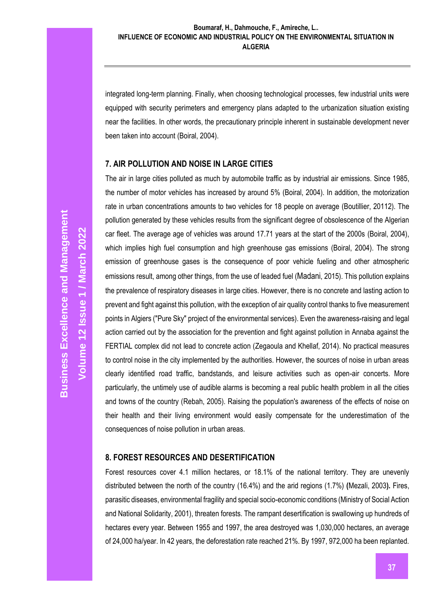#### **Boumaraf, H., Dahmouche, F., Amireche, L.. INFLUENCE OF ECONOMIC AND INDUSTRIAL POLICY ON THE ENVIRONMENTAL SITUATION IN ALGERIA**

integrated long-term planning. Finally, when choosing technological processes, few industrial units were equipped with security perimeters and emergency plans adapted to the urbanization situation existing near the facilities. In other words, the precautionary principle inherent in sustainable development never been taken into account (Boiral, 2004).

## **7. AIR POLLUTION AND NOISE IN LARGE CITIES**

The air in large cities polluted as much by automobile traffic as by industrial air emissions. Since 1985, the number of motor vehicles has increased by around 5% (Boiral, 2004). In addition, the motorization rate in urban concentrations amounts to two vehicles for 18 people on average (Boutillier, 20112). The pollution generated by these vehicles results from the significant degree of obsolescence of the Algerian car fleet. The average age of vehicles was around 17.71 years at the start of the 2000s (Boiral, 2004), which implies high fuel consumption and high greenhouse gas emissions (Boiral, 2004). The strong emission of greenhouse gases is the consequence of poor vehicle fueling and other atmospheric emissions result, among other things, from the use of leaded fuel (Madani, 2015). This pollution explains the prevalence of respiratory diseases in large cities. However, there is no concrete and lasting action to prevent and fight against this pollution, with the exception of air quality control thanks to five measurement points in Algiers ("Pure Sky" project of the environmental services). Even the awareness-raising and legal action carried out by the association for the prevention and fight against pollution in Annaba against the FERTIAL complex did not lead to concrete action (Zegaoula and Khellaf, 2014). No practical measures to control noise in the city implemented by the authorities. However, the sources of noise in urban areas clearly identified road traffic, bandstands, and leisure activities such as open-air concerts. More particularly, the untimely use of audible alarms is becoming a real public health problem in all the cities and towns of the country (Rebah, 2005). Raising the population's awareness of the effects of noise on their health and their living environment would easily compensate for the underestimation of the consequences of noise pollution in urban areas.

#### **8. FOREST RESOURCES AND DESERTIFICATION**

Forest resources cover 4.1 million hectares, or 18.1% of the national territory. They are unevenly distributed between the north of the country (16.4%) and the arid regions (1.7%) **(**Mezali, 2003**).** Fires, parasitic diseases, environmental fragility and special socio-economic conditions (Ministry of Social Action and National Solidarity, 2001), threaten forests. The rampant desertification is swallowing up hundreds of hectares every year. Between 1955 and 1997, the area destroyed was 1,030,000 hectares, an average of 24,000 ha/year. In 42 years, the deforestation rate reached 21%. By 1997, 972,000 ha been replanted.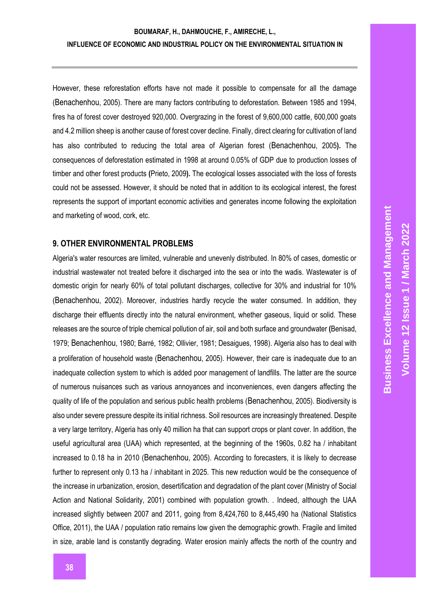However, these reforestation efforts have not made it possible to compensate for all the damage (Benachenhou, 2005). There are many factors contributing to deforestation. Between 1985 and 1994, fires ha of forest cover destroyed 920,000. Overgrazing in the forest of 9,600,000 cattle, 600,000 goats and 4.2 million sheep is another cause of forest cover decline. Finally, direct clearing for cultivation of land has also contributed to reducing the total area of Algerian forest (Benachenhou, 2005**).** The consequences of deforestation estimated in 1998 at around 0.05% of GDP due to production losses of timber and other forest products **(**Prieto, 2009**).** The ecological losses associated with the loss of forests could not be assessed. However, it should be noted that in addition to its ecological interest, the forest represents the support of important economic activities and generates income following the exploitation and marketing of wood, cork, etc.

#### **9. OTHER ENVIRONMENTAL PROBLEMS**

Algeria's water resources are limited, vulnerable and unevenly distributed. In 80% of cases, domestic or industrial wastewater not treated before it discharged into the sea or into the wadis. Wastewater is of domestic origin for nearly 60% of total pollutant discharges, collective for 30% and industrial for 10% (Benachenhou, 2002). Moreover, industries hardly recycle the water consumed. In addition, they discharge their effluents directly into the natural environment, whether gaseous, liquid or solid. These releases are the source of triple chemical pollution of air, soil and both surface and groundwater **(**Benisad, 1979; Benachenhou, 1980; Barré, 1982; Ollivier, 1981; Desaigues, 1998). Algeria also has to deal with a proliferation of household waste (Benachenhou, 2005). However, their care is inadequate due to an inadequate collection system to which is added poor management of landfills. The latter are the source of numerous nuisances such as various annoyances and inconveniences, even dangers affecting the quality of life of the population and serious public health problems (Benachenhou, 2005). Biodiversity is also under severe pressure despite its initial richness. Soil resources are increasingly threatened. Despite a very large territory, Algeria has only 40 million ha that can support crops or plant cover. In addition, the useful agricultural area (UAA) which represented, at the beginning of the 1960s, 0.82 ha / inhabitant increased to 0.18 ha in 2010 (Benachenhou, 2005). According to forecasters, it is likely to decrease further to represent only 0.13 ha / inhabitant in 2025. This new reduction would be the consequence of the increase in urbanization, erosion, desertification and degradation of the plant cover (Ministry of Social Action and National Solidarity, 2001) combined with population growth. . Indeed, although the UAA increased slightly between 2007 and 2011, going from 8,424,760 to 8,445,490 ha (National Statistics Office, 2011), the UAA / population ratio remains low given the demographic growth. Fragile and limited in size, arable land is constantly degrading. Water erosion mainly affects the north of the country and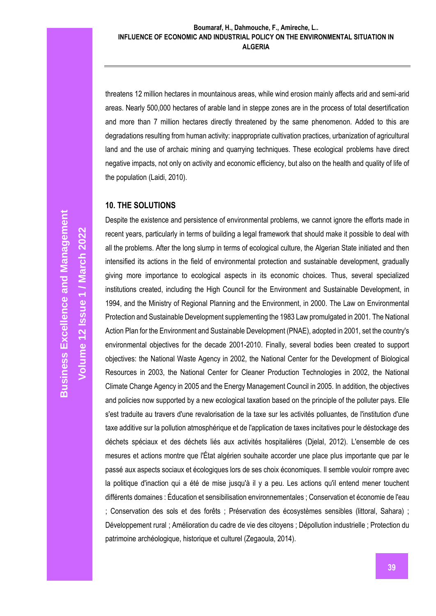threatens 12 million hectares in mountainous areas, while wind erosion mainly affects arid and semi-arid areas. Nearly 500,000 hectares of arable land in steppe zones are in the process of total desertification and more than 7 million hectares directly threatened by the same phenomenon. Added to this are degradations resulting from human activity: inappropriate cultivation practices, urbanization of agricultural land and the use of archaic mining and quarrying techniques. These ecological problems have direct negative impacts, not only on activity and economic efficiency, but also on the health and quality of life of the population (Laidi, 2010).

## **10. THE SOLUTIONS**

Despite the existence and persistence of environmental problems, we cannot ignore the efforts made in recent years, particularly in terms of building a legal framework that should make it possible to deal with all the problems. After the long slump in terms of ecological culture, the Algerian State initiated and then intensified its actions in the field of environmental protection and sustainable development, gradually giving more importance to ecological aspects in its economic choices. Thus, several specialized institutions created, including the High Council for the Environment and Sustainable Development, in 1994, and the Ministry of Regional Planning and the Environment, in 2000. The Law on Environmental Protection and Sustainable Development supplementing the 1983 Law promulgated in 2001. The National Action Plan for the Environment and Sustainable Development (PNAE), adopted in 2001, set the country's environmental objectives for the decade 2001-2010. Finally, several bodies been created to support objectives: the National Waste Agency in 2002, the National Center for the Development of Biological Resources in 2003, the National Center for Cleaner Production Technologies in 2002, the National Climate Change Agency in 2005 and the Energy Management Council in 2005. In addition, the objectives and policies now supported by a new ecological taxation based on the principle of the polluter pays. Elle s'est traduite au travers d'une revalorisation de la taxe sur les activités polluantes, de l'institution d'une taxe additive sur la pollution atmosphérique et de l'application de taxes incitatives pour le déstockage des déchets spéciaux et des déchets liés aux activités hospitalières (Djelal, 2012). L'ensemble de ces mesures et actions montre que l'État algérien souhaite accorder une place plus importante que par le passé aux aspects sociaux et écologiques lors de ses choix économiques. Il semble vouloir rompre avec la politique d'inaction qui a été de mise jusqu'à il y a peu. Les actions qu'il entend mener touchent différents domaines : Éducation et sensibilisation environnementales ; Conservation et économie de l'eau ; Conservation des sols et des forêts ; Préservation des écosystèmes sensibles (littoral, Sahara) ; Développement rural ; Amélioration du cadre de vie des citoyens ; Dépollution industrielle ; Protection du patrimoine archéologique, historique et culturel (Zegaoula, 2014).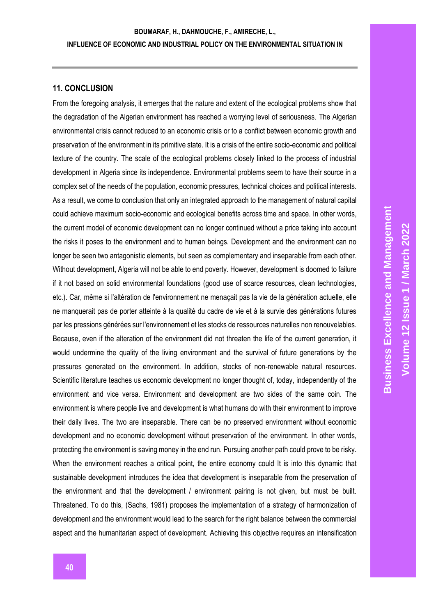## **11. CONCLUSION**

From the foregoing analysis, it emerges that the nature and extent of the ecological problems show that the degradation of the Algerian environment has reached a worrying level of seriousness. The Algerian environmental crisis cannot reduced to an economic crisis or to a conflict between economic growth and preservation of the environment in its primitive state. It is a crisis of the entire socio-economic and political texture of the country. The scale of the ecological problems closely linked to the process of industrial development in Algeria since its independence. Environmental problems seem to have their source in a complex set of the needs of the population, economic pressures, technical choices and political interests. As a result, we come to conclusion that only an integrated approach to the management of natural capital could achieve maximum socio-economic and ecological benefits across time and space. In other words, the current model of economic development can no longer continued without a price taking into account the risks it poses to the environment and to human beings. Development and the environment can no longer be seen two antagonistic elements, but seen as complementary and inseparable from each other. Without development, Algeria will not be able to end poverty. However, development is doomed to failure if it not based on solid environmental foundations (good use of scarce resources, clean technologies, etc.). Car, même si l'altération de l'environnement ne menaçait pas la vie de la génération actuelle, elle ne manquerait pas de porter atteinte à la qualité du cadre de vie et à la survie des générations futures par les pressions générées sur l'environnement et les stocks de ressources naturelles non renouvelables. Because, even if the alteration of the environment did not threaten the life of the current generation, it would undermine the quality of the living environment and the survival of future generations by the pressures generated on the environment. In addition, stocks of non-renewable natural resources. Scientific literature teaches us economic development no longer thought of, today, independently of the environment and vice versa. Environment and development are two sides of the same coin. The environment is where people live and development is what humans do with their environment to improve their daily lives. The two are inseparable. There can be no preserved environment without economic development and no economic development without preservation of the environment. In other words, protecting the environment is saving money in the end run. Pursuing another path could prove to be risky. When the environment reaches a critical point, the entire economy could It is into this dynamic that sustainable development introduces the idea that development is inseparable from the preservation of the environment and that the development / environment pairing is not given, but must be built. Threatened. To do this, (Sachs, 1981) proposes the implementation of a strategy of harmonization of development and the environment would lead to the search for the right balance between the commercial aspect and the humanitarian aspect of development. Achieving this objective requires an intensification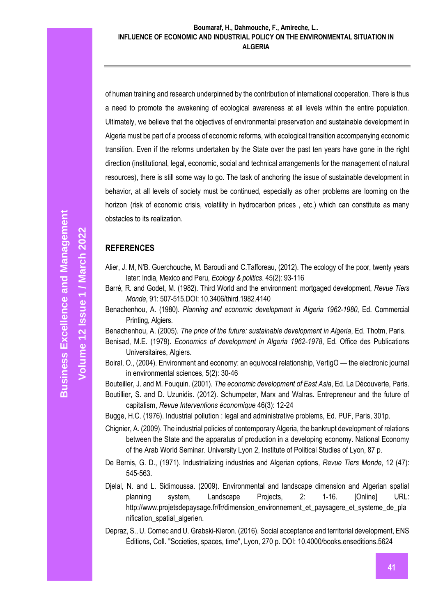of human training and research underpinned by the contribution of international cooperation. There is thus a need to promote the awakening of ecological awareness at all levels within the entire population. Ultimately, we believe that the objectives of environmental preservation and sustainable development in Algeria must be part of a process of economic reforms, with ecological transition accompanying economic transition. Even if the reforms undertaken by the State over the past ten years have gone in the right direction (institutional, legal, economic, social and technical arrangements for the management of natural resources), there is still some way to go. The task of anchoring the issue of sustainable development in behavior, at all levels of society must be continued, especially as other problems are looming on the horizon (risk of economic crisis, volatility in hydrocarbon prices , etc.) which can constitute as many obstacles to its realization.

## **REFERENCES**

- Alier, J. M, N'B. Guerchouche, M. Baroudi and C.Tafforeau, (2012). The ecology of the poor, twenty years later: India, Mexico and Peru, *Ecology & politics*. 45(2): 93-116
- Barré, R. and Godet, M. (1982). Third World and the environment: mortgaged development, *Revue Tiers Monde*, 91: 507-515.DOI: 10.3406/third.1982.4140
- Benachenhou, A. (1980). *Planning and economic development in Algeria 1962-1980*, Ed. Commercial Printing, Algiers.
- Benachenhou, A. (2005). *The price of the future: sustainable development in Algeria*, Ed. Thotm, Paris.
- Benisad, M.E. (1979). *Economics of development in Algeria 1962-1978*, Ed. Office des Publications Universitaires, Algiers.
- Boiral, O., (2004). Environment and economy: an equivocal relationship, VertigO the electronic journal in environmental sciences, 5(2): 30-46

Bouteiller, J. and M. Fouquin. (2001). *The economic development of East Asia*, Ed. La Découverte, Paris.

Boutillier, S. and D. Uzunidis. (2012). Schumpeter, Marx and Walras. Entrepreneur and the future of capitalism, *Revue Interventions économique* 46(3): 12-24

Bugge, H.C. (1976). Industrial pollution : legal and administrative problems, Ed. PUF, Paris, 301p.

- Chignier, A. (2009). The industrial policies of contemporary Algeria, the bankrupt development of relations between the State and the apparatus of production in a developing economy. National Economy of the Arab World Seminar. University Lyon 2, Institute of Political Studies of Lyon, 87 p.
- De Bernis, G. D., (1971). Industrializing industries and Algerian options, *Revue Tiers Monde*, 12 (47): 545-563.
- Djelal, N. and L. Sidimoussa. (2009). Environmental and landscape dimension and Algerian spatial planning system, Landscape Projects, 2: 1-16. [Online] URL: http://www.projetsdepaysage.fr/fr/dimension\_environnement\_et\_paysagere\_et\_systeme\_de\_pla nification spatial algerien.
- Depraz, S., U. Cornec and U. Grabski-Kieron. (2016). Social acceptance and territorial development, ENS Éditions, Coll. "Societies, spaces, time", Lyon, 270 p. DOI: 10.4000/books.enseditions.5624

**Volume 12 Issue 1 / March 2022**